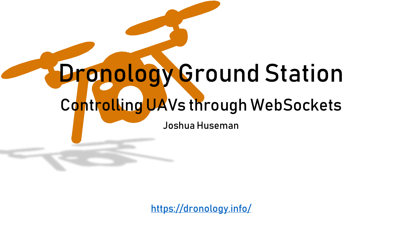#### Dronology Ground Station

#### Controlling UAVs through WebSockets

Joshua Huseman

<https://dronology.info/>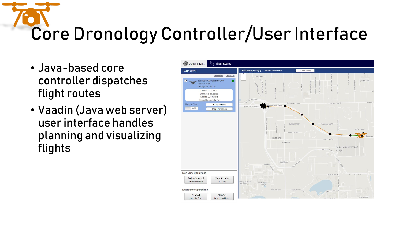# Core Dronology Controller/User Interface

- Java-based core controller dispatches flight routes
- Vaadin (Java web server) user interface handles planning and visualizing flights

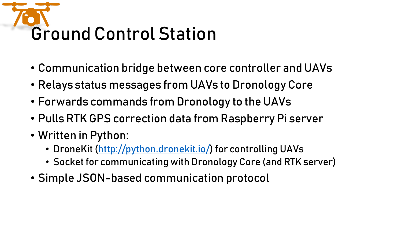## Ground Control Station

- Communication bridge between core controller and UAVs
- Relays status messages from UAVs to Dronology Core
- Forwards commands from Dronology to the UAVs
- Pulls RTK GPS correction data from Raspberry Pi server
- Written in Python:
	- DroneKit [\(http://python.dronekit.io/\)](http://python.dronekit.io/) for controlling UAVs
	- Socket for communicating with Dronology Core (and RTK server)
- Simple JSON-based communication protocol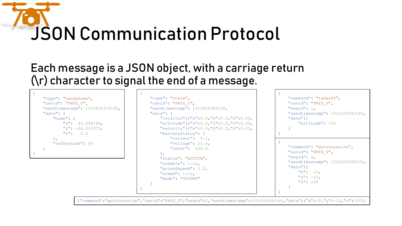### JSON Communication Protocol

{

}

#### Each message is a JSON object, with a carriage return (\r) character to signal the end of a message.

{ "type": "handshake", "uavid": "PHYS 0", "sendtimestamp": 1512454376145, "data": { "home": { "x": 41.698184,  $"v"$ : -86.233975,  $"z"$ : 0.0 }, "safetycase": {} } }

"type": "state", "uavid": "PHYS 0", "sendtimestamp": 1512454389145, "data": { "location":{"x":0.0,"y":0.0,"z":0.0}, "attitude":{"x":0.0,"y":0.0,"z":0.0}, "velocity":{"x":0.0,"y":0.0,"z":0.0}, "batterystatus": { "current": 0.1, "voltage": 12.4, "level": 100.0 }, "status": "ACTIVE", "armable": true, "groundspeed": 0.0, "armed": true, "mode": "GUIDED" }

"command": "takeoff", "uavid": "PHYS 0", "msgid": 1, "sendtimestamp": 1512454393145, "data":{ "altitude": 100 } "command": "gotoLocation", "uavid": "PHYS 0", "msgid": 2, "sendtimestamp": 1512454399145, "data":{  $"x"$ : 10,  $"v"$ : -10. "z": 100 }

{

}

{

}

{"command":"gotoLocation","uavid":"PHYS\_0","msgid":2,"sendtimestamp":1512454399145,"data":{"x":10,"y":-10,"z":100}}